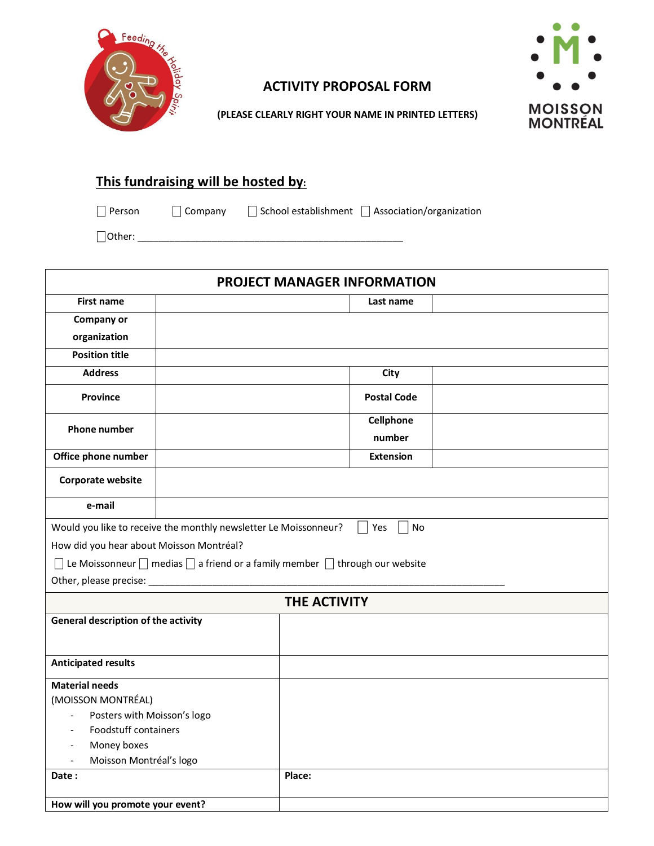

## **ACTIVITY PROPOSAL FORM**



**(PLEASE CLEARLY RIGHT YOUR NAME IN PRINTED LETTERS)**

## **This fundraising will be hosted by:**

⎕ Person ⎕ Company ⎕ School establishment ⎕ Association/organization

⎕Other: \_\_\_\_\_\_\_\_\_\_\_\_\_\_\_\_\_\_\_\_\_\_\_\_\_\_\_\_\_\_\_\_\_\_\_\_\_\_\_\_\_\_\_\_\_\_\_\_\_\_

| <b>PROJECT MANAGER INFORMATION</b>                                                         |  |        |                    |  |
|--------------------------------------------------------------------------------------------|--|--------|--------------------|--|
| <b>First name</b>                                                                          |  |        | Last name          |  |
| Company or                                                                                 |  |        |                    |  |
| organization                                                                               |  |        |                    |  |
| <b>Position title</b>                                                                      |  |        |                    |  |
| <b>Address</b>                                                                             |  |        | City               |  |
| Province                                                                                   |  |        | <b>Postal Code</b> |  |
| <b>Phone number</b>                                                                        |  |        | Cellphone          |  |
|                                                                                            |  |        | number             |  |
| Office phone number                                                                        |  |        | <b>Extension</b>   |  |
| Corporate website                                                                          |  |        |                    |  |
| e-mail                                                                                     |  |        |                    |  |
| Would you like to receive the monthly newsletter Le Moissonneur?                           |  |        | <b>No</b><br>Yes   |  |
| How did you hear about Moisson Montréal?                                                   |  |        |                    |  |
| Le Moissonneur $\Box$ medias $\Box$ a friend or a family member $\Box$ through our website |  |        |                    |  |
| Other, please precise: ___________                                                         |  |        |                    |  |
| <b>THE ACTIVITY</b>                                                                        |  |        |                    |  |
| General description of the activity                                                        |  |        |                    |  |
|                                                                                            |  |        |                    |  |
| <b>Anticipated results</b>                                                                 |  |        |                    |  |
| <b>Material needs</b>                                                                      |  |        |                    |  |
| (MOISSON MONTRÉAL)                                                                         |  |        |                    |  |
| Posters with Moisson's logo<br>$\Box$                                                      |  |        |                    |  |
| Foodstuff containers                                                                       |  |        |                    |  |
| Money boxes<br>$\overline{\phantom{a}}$                                                    |  |        |                    |  |
| Moisson Montréal's logo<br>$\overline{\phantom{a}}$<br>Date:                               |  | Place: |                    |  |
|                                                                                            |  |        |                    |  |
| How will you promote your event?                                                           |  |        |                    |  |